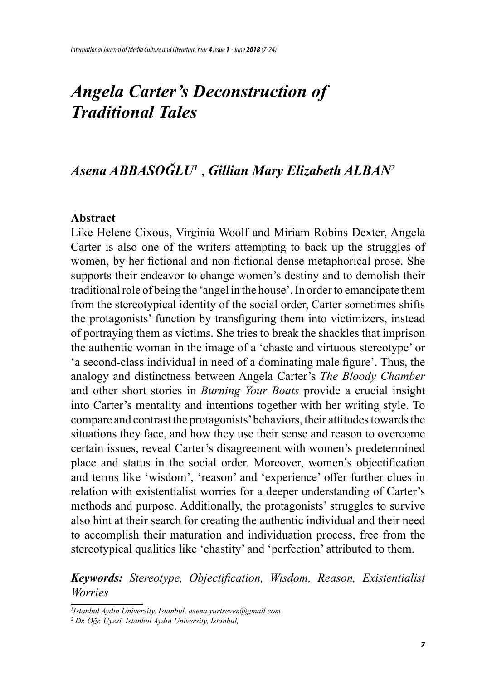# *Angela Carter's Deconstruction of Traditional Tales*

# *Asena ABBASOĞLU<sup>1</sup>* , *Gillian Mary Elizabeth ALBAN<sup>2</sup>*

#### **Abstract**

Like Helene Cixous, Virginia Woolf and Miriam Robins Dexter, Angela Carter is also one of the writers attempting to back up the struggles of women, by her fictional and non-fictional dense metaphorical prose. She supports their endeavor to change women's destiny and to demolish their traditional role of being the 'angel in the house'. In order to emancipate them from the stereotypical identity of the social order, Carter sometimes shifts the protagonists' function by transfiguring them into victimizers, instead of portraying them as victims. She tries to break the shackles that imprison the authentic woman in the image of a 'chaste and virtuous stereotype' or 'a second-class individual in need of a dominating male figure'. Thus, the analogy and distinctness between Angela Carter's *The Bloody Chamber*  and other short stories in *Burning Your Boats* provide a crucial insight into Carter's mentality and intentions together with her writing style. To compare and contrast the protagonists' behaviors, their attitudes towards the situations they face, and how they use their sense and reason to overcome certain issues, reveal Carter's disagreement with women's predetermined place and status in the social order. Moreover, women's objectification and terms like 'wisdom', 'reason' and 'experience' offer further clues in relation with existentialist worries for a deeper understanding of Carter's methods and purpose. Additionally, the protagonists' struggles to survive also hint at their search for creating the authentic individual and their need to accomplish their maturation and individuation process, free from the stereotypical qualities like 'chastity' and 'perfection' attributed to them.

*Keywords: Stereotype, Objectification, Wisdom, Reason, Existentialist Worries*

*<sup>1</sup> Istanbul Aydın University, İstanbul, asena.yurtseven@gmail.com* 

*<sup>2</sup> Dr. Öğr. Üyesi, Istanbul Aydın University, İstanbul,*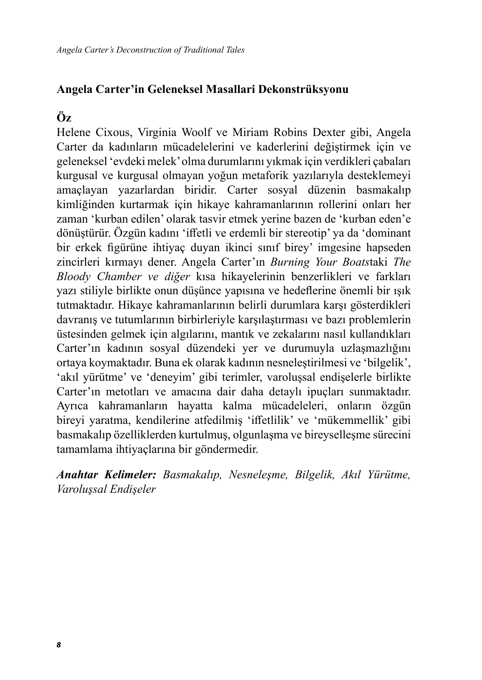### **Angela Carter'in Geleneksel Masallari Dekonstrüksyonu**

# **Öz**

Helene Cixous, Virginia Woolf ve Miriam Robins Dexter gibi, Angela Carter da kadınların mücadelelerini ve kaderlerini değiştirmek için ve geleneksel 'evdeki melek' olma durumlarını yıkmak için verdikleri çabaları kurgusal ve kurgusal olmayan yoğun metaforik yazılarıyla desteklemeyi amaçlayan yazarlardan biridir. Carter sosyal düzenin basmakalıp kimliğinden kurtarmak için hikaye kahramanlarının rollerini onları her zaman 'kurban edilen' olarak tasvir etmek yerine bazen de 'kurban eden'e dönüştürür. Özgün kadını 'iffetli ve erdemli bir stereotip' ya da 'dominant bir erkek figürüne ihtiyaç duyan ikinci sınıf birey' imgesine hapseden zincirleri kırmayı dener. Angela Carter'ın *Burning Your Boats*taki *The Bloody Chamber ve diğer* kısa hikayelerinin benzerlikleri ve farkları yazı stiliyle birlikte onun düşünce yapısına ve hedeflerine önemli bir ışık tutmaktadır. Hikaye kahramanlarının belirli durumlara karşı gösterdikleri davranış ve tutumlarının birbirleriyle karşılaştırması ve bazı problemlerin üstesinden gelmek için algılarını, mantık ve zekalarını nasıl kullandıkları Carter'ın kadının sosyal düzendeki yer ve durumuyla uzlaşmazlığını ortaya koymaktadır. Buna ek olarak kadının nesneleştirilmesi ve 'bilgelik', 'akıl yürütme' ve 'deneyim' gibi terimler, varoluşsal endişelerle birlikte Carter'ın metotları ve amacına dair daha detaylı ipuçları sunmaktadır. Ayrıca kahramanların hayatta kalma mücadeleleri, onların özgün bireyi yaratma, kendilerine atfedilmiş 'iffetlilik' ve 'mükemmellik' gibi basmakalıp özelliklerden kurtulmuş, olgunlaşma ve bireyselleşme sürecini tamamlama ihtiyaçlarına bir göndermedir.

*Anahtar Kelimeler: Basmakalıp, Nesneleşme, Bilgelik, Akıl Yürütme, Varoluşsal Endişeler*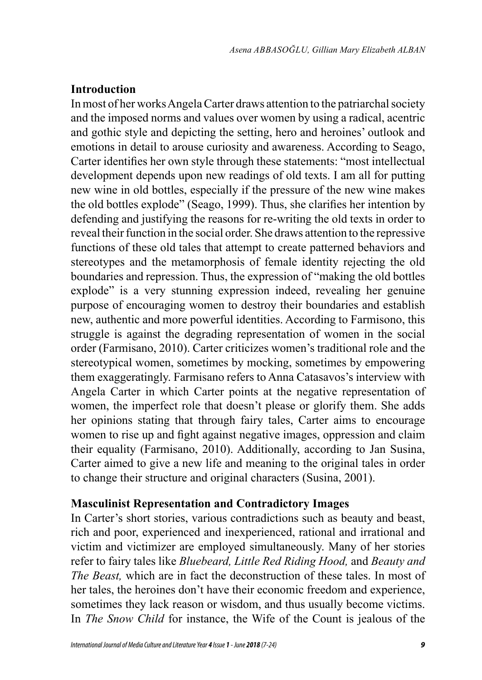# **Introduction**

In most of her works Angela Carter draws attention to the patriarchal society and the imposed norms and values over women by using a radical, acentric and gothic style and depicting the setting, hero and heroines' outlook and emotions in detail to arouse curiosity and awareness. According to Seago, Carter identifies her own style through these statements: "most intellectual development depends upon new readings of old texts. I am all for putting new wine in old bottles, especially if the pressure of the new wine makes the old bottles explode" (Seago, 1999). Thus, she clarifies her intention by defending and justifying the reasons for re-writing the old texts in order to reveal their function in the social order. She draws attention to the repressive functions of these old tales that attempt to create patterned behaviors and stereotypes and the metamorphosis of female identity rejecting the old boundaries and repression. Thus, the expression of "making the old bottles explode" is a very stunning expression indeed, revealing her genuine purpose of encouraging women to destroy their boundaries and establish new, authentic and more powerful identities. According to Farmisono, this struggle is against the degrading representation of women in the social order (Farmisano, 2010). Carter criticizes women's traditional role and the stereotypical women, sometimes by mocking, sometimes by empowering them exaggeratingly. Farmisano refers to Anna Catasavos's interview with Angela Carter in which Carter points at the negative representation of women, the imperfect role that doesn't please or glorify them. She adds her opinions stating that through fairy tales, Carter aims to encourage women to rise up and fight against negative images, oppression and claim their equality (Farmisano, 2010). Additionally, according to Jan Susina, Carter aimed to give a new life and meaning to the original tales in order to change their structure and original characters (Susina, 2001).

#### **Masculinist Representation and Contradictory Images**

In Carter's short stories, various contradictions such as beauty and beast, rich and poor, experienced and inexperienced, rational and irrational and victim and victimizer are employed simultaneously. Many of her stories refer to fairy tales like *Bluebeard, Little Red Riding Hood,* and *Beauty and The Beast,* which are in fact the deconstruction of these tales. In most of her tales, the heroines don't have their economic freedom and experience, sometimes they lack reason or wisdom, and thus usually become victims. In *The Snow Child* for instance, the Wife of the Count is jealous of the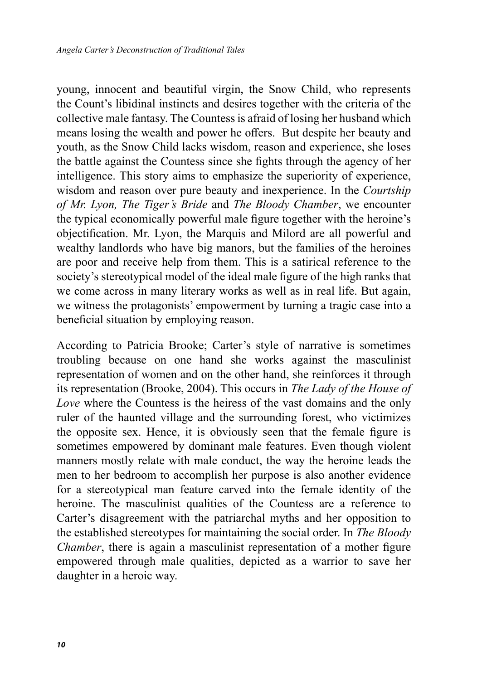young, innocent and beautiful virgin, the Snow Child, who represents the Count's libidinal instincts and desires together with the criteria of the collective male fantasy. The Countess is afraid of losing her husband which means losing the wealth and power he offers. But despite her beauty and youth, as the Snow Child lacks wisdom, reason and experience, she loses the battle against the Countess since she fights through the agency of her intelligence. This story aims to emphasize the superiority of experience, wisdom and reason over pure beauty and inexperience. In the *Courtship of Mr. Lyon, The Tiger's Bride* and *The Bloody Chamber*, we encounter the typical economically powerful male figure together with the heroine's objectification. Mr. Lyon, the Marquis and Milord are all powerful and wealthy landlords who have big manors, but the families of the heroines are poor and receive help from them. This is a satirical reference to the society's stereotypical model of the ideal male figure of the high ranks that we come across in many literary works as well as in real life. But again, we witness the protagonists' empowerment by turning a tragic case into a beneficial situation by employing reason.

According to Patricia Brooke; Carter's style of narrative is sometimes troubling because on one hand she works against the masculinist representation of women and on the other hand, she reinforces it through its representation (Brooke, 2004). This occurs in *The Lady of the House of Love* where the Countess is the heiress of the vast domains and the only ruler of the haunted village and the surrounding forest, who victimizes the opposite sex. Hence, it is obviously seen that the female figure is sometimes empowered by dominant male features. Even though violent manners mostly relate with male conduct, the way the heroine leads the men to her bedroom to accomplish her purpose is also another evidence for a stereotypical man feature carved into the female identity of the heroine. The masculinist qualities of the Countess are a reference to Carter's disagreement with the patriarchal myths and her opposition to the established stereotypes for maintaining the social order. In *The Bloody Chamber*, there is again a masculinist representation of a mother figure empowered through male qualities, depicted as a warrior to save her daughter in a heroic way.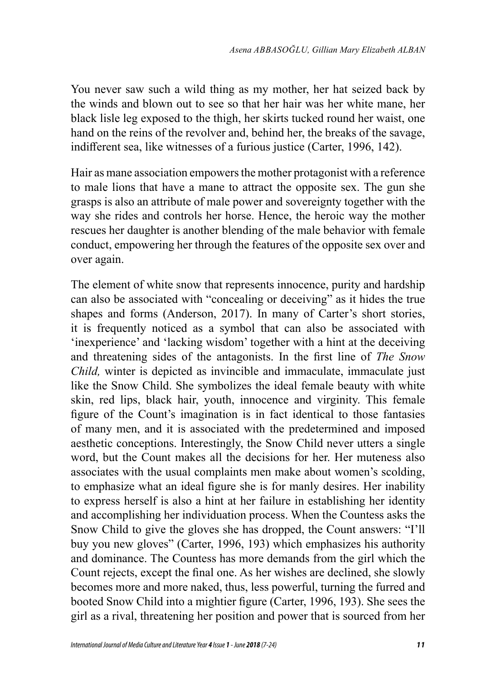You never saw such a wild thing as my mother, her hat seized back by the winds and blown out to see so that her hair was her white mane, her black lisle leg exposed to the thigh, her skirts tucked round her waist, one hand on the reins of the revolver and, behind her, the breaks of the savage, indifferent sea, like witnesses of a furious justice (Carter, 1996, 142).

Hair as mane association empowers the mother protagonist with a reference to male lions that have a mane to attract the opposite sex. The gun she grasps is also an attribute of male power and sovereignty together with the way she rides and controls her horse. Hence, the heroic way the mother rescues her daughter is another blending of the male behavior with female conduct, empowering her through the features of the opposite sex over and over again.

The element of white snow that represents innocence, purity and hardship can also be associated with "concealing or deceiving" as it hides the true shapes and forms (Anderson, 2017). In many of Carter's short stories, it is frequently noticed as a symbol that can also be associated with 'inexperience' and 'lacking wisdom' together with a hint at the deceiving and threatening sides of the antagonists. In the first line of *The Snow Child,* winter is depicted as invincible and immaculate, immaculate just like the Snow Child. She symbolizes the ideal female beauty with white skin, red lips, black hair, youth, innocence and virginity. This female figure of the Count's imagination is in fact identical to those fantasies of many men, and it is associated with the predetermined and imposed aesthetic conceptions. Interestingly, the Snow Child never utters a single word, but the Count makes all the decisions for her. Her muteness also associates with the usual complaints men make about women's scolding, to emphasize what an ideal figure she is for manly desires. Her inability to express herself is also a hint at her failure in establishing her identity and accomplishing her individuation process. When the Countess asks the Snow Child to give the gloves she has dropped, the Count answers: "I'll buy you new gloves" (Carter, 1996, 193) which emphasizes his authority and dominance. The Countess has more demands from the girl which the Count rejects, except the final one. As her wishes are declined, she slowly becomes more and more naked, thus, less powerful, turning the furred and booted Snow Child into a mightier figure (Carter, 1996, 193). She sees the girl as a rival, threatening her position and power that is sourced from her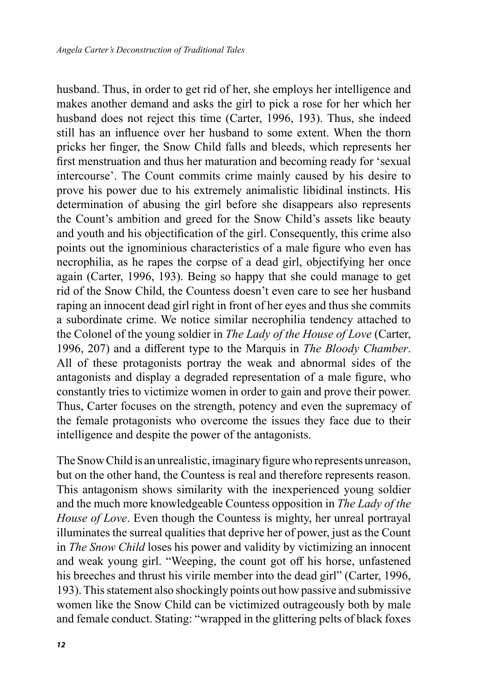husband. Thus, in order to get rid of her, she employs her intelligence and makes another demand and asks the girl to pick a rose for her which her husband does not reject this time (Carter, 1996, 193). Thus, she indeed still has an influence over her husband to some extent. When the thorn pricks her finger, the Snow Child falls and bleeds, which represents her first menstruation and thus her maturation and becoming ready for 'sexual intercourse'. The Count commits crime mainly caused by his desire to prove his power due to his extremely animalistic libidinal instincts. His determination of abusing the girl before she disappears also represents the Count's ambition and greed for the Snow Child's assets like beauty and youth and his objectification of the girl. Consequently, this crime also points out the ignominious characteristics of a male figure who even has necrophilia, as he rapes the corpse of a dead girl, objectifying her once again (Carter, 1996, 193). Being so happy that she could manage to get rid of the Snow Child, the Countess doesn't even care to see her husband raping an innocent dead girl right in front of her eyes and thus she commits a subordinate crime. We notice similar necrophilia tendency attached to the Colonel of the young soldier in *The Lady of the House of Love* (Carter, 1996, 207) and a different type to the Marquis in *The Bloody Chamber*. All of these protagonists portray the weak and abnormal sides of the antagonists and display a degraded representation of a male figure, who constantly tries to victimize women in order to gain and prove their power. Thus, Carter focuses on the strength, potency and even the supremacy of the female protagonists who overcome the issues they face due to their intelligence and despite the power of the antagonists.

The Snow Child is an unrealistic, imaginary figure who represents unreason, but on the other hand, the Countess is real and therefore represents reason. This antagonism shows similarity with the inexperienced young soldier and the much more knowledgeable Countess opposition in *The Lady of the House of Love*. Even though the Countess is mighty, her unreal portrayal illuminates the surreal qualities that deprive her of power, just as the Count in *The Snow Child* loses his power and validity by victimizing an innocent and weak young girl. "Weeping, the count got off his horse, unfastened his breeches and thrust his virile member into the dead girl" (Carter, 1996, 193). This statement also shockingly points out how passive and submissive women like the Snow Child can be victimized outrageously both by male and female conduct. Stating: "wrapped in the glittering pelts of black foxes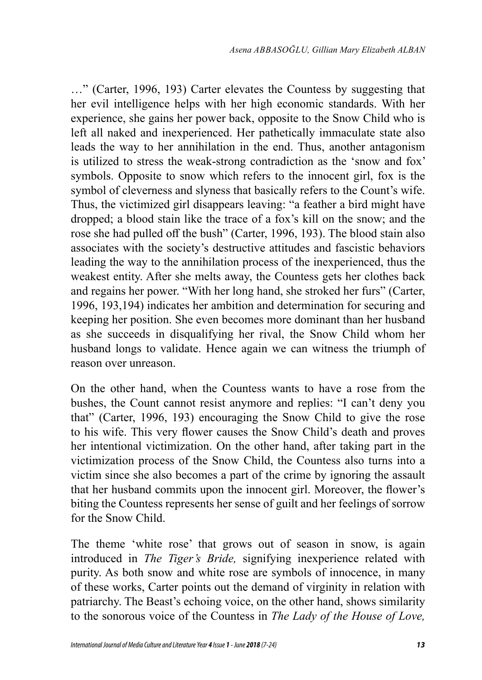…" (Carter, 1996, 193) Carter elevates the Countess by suggesting that her evil intelligence helps with her high economic standards. With her experience, she gains her power back, opposite to the Snow Child who is left all naked and inexperienced. Her pathetically immaculate state also leads the way to her annihilation in the end. Thus, another antagonism is utilized to stress the weak-strong contradiction as the 'snow and fox' symbols. Opposite to snow which refers to the innocent girl, fox is the symbol of cleverness and slyness that basically refers to the Count's wife. Thus, the victimized girl disappears leaving: "a feather a bird might have dropped; a blood stain like the trace of a fox's kill on the snow; and the rose she had pulled off the bush" (Carter, 1996, 193). The blood stain also associates with the society's destructive attitudes and fascistic behaviors leading the way to the annihilation process of the inexperienced, thus the weakest entity. After she melts away, the Countess gets her clothes back and regains her power. "With her long hand, she stroked her furs" (Carter, 1996, 193,194) indicates her ambition and determination for securing and keeping her position. She even becomes more dominant than her husband as she succeeds in disqualifying her rival, the Snow Child whom her husband longs to validate. Hence again we can witness the triumph of reason over unreason.

On the other hand, when the Countess wants to have a rose from the bushes, the Count cannot resist anymore and replies: "I can't deny you that" (Carter, 1996, 193) encouraging the Snow Child to give the rose to his wife. This very flower causes the Snow Child's death and proves her intentional victimization. On the other hand, after taking part in the victimization process of the Snow Child, the Countess also turns into a victim since she also becomes a part of the crime by ignoring the assault that her husband commits upon the innocent girl. Moreover, the flower's biting the Countess represents her sense of guilt and her feelings of sorrow for the Snow Child.

The theme 'white rose' that grows out of season in snow, is again introduced in *The Tiger's Bride,* signifying inexperience related with purity. As both snow and white rose are symbols of innocence, in many of these works, Carter points out the demand of virginity in relation with patriarchy. The Beast's echoing voice, on the other hand, shows similarity to the sonorous voice of the Countess in *The Lady of the House of Love,*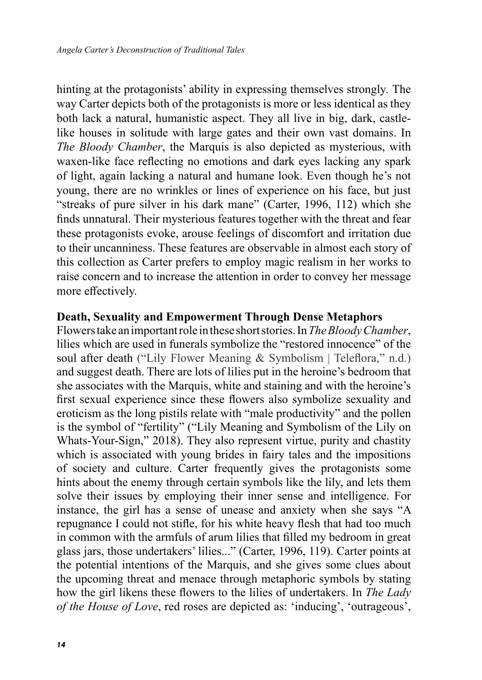hinting at the protagonists' ability in expressing themselves strongly*.* The way Carter depicts both of the protagonists is more or less identical as they both lack a natural, humanistic aspect. They all live in big, dark, castlelike houses in solitude with large gates and their own vast domains. In *The Bloody Chamber*, the Marquis is also depicted as mysterious, with waxen-like face reflecting no emotions and dark eyes lacking any spark of light, again lacking a natural and humane look. Even though he's not young, there are no wrinkles or lines of experience on his face, but just "streaks of pure silver in his dark mane" (Carter, 1996, 112) which she finds unnatural. Their mysterious features together with the threat and fear these protagonists evoke, arouse feelings of discomfort and irritation due to their uncanniness. These features are observable in almost each story of this collection as Carter prefers to employ magic realism in her works to raise concern and to increase the attention in order to convey her message more effectively.

#### **Death, Sexuality and Empowerment Through Dense Metaphors**

Flowers take an important role in these short stories. In *The Bloody Chamber*, lilies which are used in funerals symbolize the "restored innocence" of the soul after death ("Lily Flower Meaning & Symbolism | Teleflora," n.d.) and suggest death. There are lots of lilies put in the heroine's bedroom that she associates with the Marquis, white and staining and with the heroine's first sexual experience since these flowers also symbolize sexuality and eroticism as the long pistils relate with "male productivity" and the pollen is the symbol of "fertility" ("Lily Meaning and Symbolism of the Lily on Whats-Your-Sign," 2018). They also represent virtue, purity and chastity which is associated with young brides in fairy tales and the impositions of society and culture. Carter frequently gives the protagonists some hints about the enemy through certain symbols like the lily, and lets them solve their issues by employing their inner sense and intelligence. For instance, the girl has a sense of unease and anxiety when she says "A repugnance I could not stifle, for his white heavy flesh that had too much in common with the armfuls of arum lilies that filled my bedroom in great glass jars, those undertakers' lilies..." (Carter, 1996, 119). Carter points at the potential intentions of the Marquis, and she gives some clues about the upcoming threat and menace through metaphoric symbols by stating how the girl likens these flowers to the lilies of undertakers. In *The Lady of the House of Love*, red roses are depicted as: 'inducing', 'outrageous',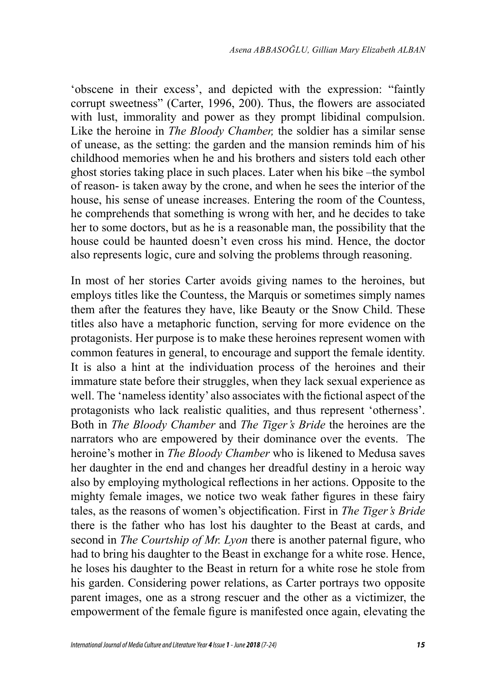'obscene in their excess', and depicted with the expression: "faintly corrupt sweetness" (Carter, 1996, 200). Thus, the flowers are associated with lust, immorality and power as they prompt libidinal compulsion. Like the heroine in *The Bloody Chamber,* the soldier has a similar sense of unease, as the setting: the garden and the mansion reminds him of his childhood memories when he and his brothers and sisters told each other ghost stories taking place in such places. Later when his bike –the symbol of reason- is taken away by the crone, and when he sees the interior of the house, his sense of unease increases. Entering the room of the Countess, he comprehends that something is wrong with her, and he decides to take her to some doctors, but as he is a reasonable man, the possibility that the house could be haunted doesn't even cross his mind. Hence, the doctor also represents logic, cure and solving the problems through reasoning.

In most of her stories Carter avoids giving names to the heroines, but employs titles like the Countess, the Marquis or sometimes simply names them after the features they have, like Beauty or the Snow Child. These titles also have a metaphoric function, serving for more evidence on the protagonists. Her purpose is to make these heroines represent women with common features in general, to encourage and support the female identity. It is also a hint at the individuation process of the heroines and their immature state before their struggles, when they lack sexual experience as well. The 'nameless identity' also associates with the fictional aspect of the protagonists who lack realistic qualities, and thus represent 'otherness'. Both in *The Bloody Chamber* and *The Tiger's Bride* the heroines are the narrators who are empowered by their dominance over the events. The heroine's mother in *The Bloody Chamber* who is likened to Medusa saves her daughter in the end and changes her dreadful destiny in a heroic way also by employing mythological reflections in her actions. Opposite to the mighty female images, we notice two weak father figures in these fairy tales, as the reasons of women's objectification. First in *The Tiger's Bride* there is the father who has lost his daughter to the Beast at cards, and second in *The Courtship of Mr. Lyon* there is another paternal figure, who had to bring his daughter to the Beast in exchange for a white rose. Hence, he loses his daughter to the Beast in return for a white rose he stole from his garden. Considering power relations, as Carter portrays two opposite parent images, one as a strong rescuer and the other as a victimizer, the empowerment of the female figure is manifested once again, elevating the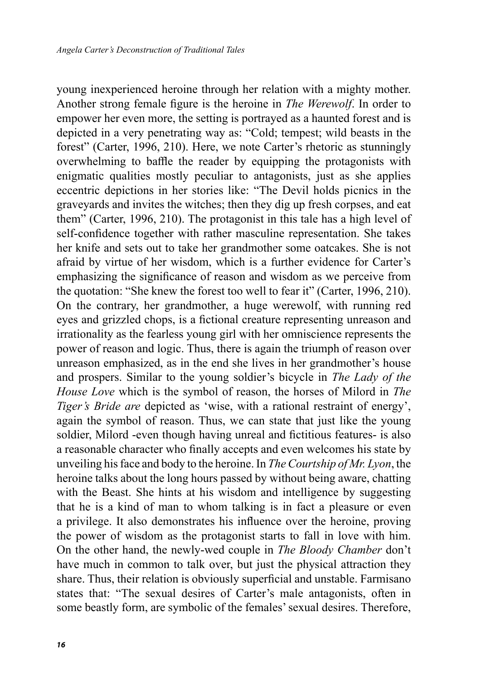young inexperienced heroine through her relation with a mighty mother. Another strong female figure is the heroine in *The Werewolf*. In order to empower her even more, the setting is portrayed as a haunted forest and is depicted in a very penetrating way as: "Cold; tempest; wild beasts in the forest" (Carter, 1996, 210). Here, we note Carter's rhetoric as stunningly overwhelming to baffle the reader by equipping the protagonists with enigmatic qualities mostly peculiar to antagonists, just as she applies eccentric depictions in her stories like: "The Devil holds picnics in the graveyards and invites the witches; then they dig up fresh corpses, and eat them" (Carter, 1996, 210). The protagonist in this tale has a high level of self-confidence together with rather masculine representation. She takes her knife and sets out to take her grandmother some oatcakes. She is not afraid by virtue of her wisdom, which is a further evidence for Carter's emphasizing the significance of reason and wisdom as we perceive from the quotation: "She knew the forest too well to fear it" (Carter, 1996, 210). On the contrary, her grandmother, a huge werewolf, with running red eyes and grizzled chops, is a fictional creature representing unreason and irrationality as the fearless young girl with her omniscience represents the power of reason and logic. Thus, there is again the triumph of reason over unreason emphasized, as in the end she lives in her grandmother's house and prospers. Similar to the young soldier's bicycle in *The Lady of the House Love* which is the symbol of reason, the horses of Milord in *The Tiger's Bride are* depicted as 'wise, with a rational restraint of energy', again the symbol of reason. Thus, we can state that just like the young soldier, Milord -even though having unreal and fictitious features- is also a reasonable character who finally accepts and even welcomes his state by unveiling his face and body to the heroine. In *The Courtship of Mr. Lyon*, the heroine talks about the long hours passed by without being aware, chatting with the Beast. She hints at his wisdom and intelligence by suggesting that he is a kind of man to whom talking is in fact a pleasure or even a privilege. It also demonstrates his influence over the heroine, proving the power of wisdom as the protagonist starts to fall in love with him. On the other hand, the newly-wed couple in *The Bloody Chamber* don't have much in common to talk over, but just the physical attraction they share. Thus, their relation is obviously superficial and unstable. Farmisano states that: "The sexual desires of Carter's male antagonists, often in some beastly form, are symbolic of the females' sexual desires. Therefore,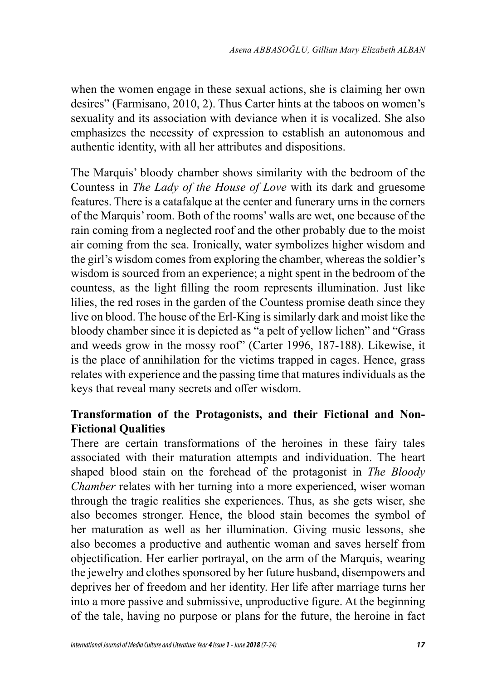when the women engage in these sexual actions, she is claiming her own desires" (Farmisano, 2010, 2). Thus Carter hints at the taboos on women's sexuality and its association with deviance when it is vocalized. She also emphasizes the necessity of expression to establish an autonomous and authentic identity, with all her attributes and dispositions.

The Marquis' bloody chamber shows similarity with the bedroom of the Countess in *The Lady of the House of Love* with its dark and gruesome features. There is a catafalque at the center and funerary urns in the corners of the Marquis' room. Both of the rooms' walls are wet, one because of the rain coming from a neglected roof and the other probably due to the moist air coming from the sea. Ironically, water symbolizes higher wisdom and the girl's wisdom comes from exploring the chamber, whereas the soldier's wisdom is sourced from an experience; a night spent in the bedroom of the countess, as the light filling the room represents illumination. Just like lilies, the red roses in the garden of the Countess promise death since they live on blood. The house of the Erl-King is similarly dark and moist like the bloody chamber since it is depicted as "a pelt of yellow lichen" and "Grass and weeds grow in the mossy roof" (Carter 1996, 187-188). Likewise, it is the place of annihilation for the victims trapped in cages. Hence, grass relates with experience and the passing time that matures individuals as the keys that reveal many secrets and offer wisdom.

# **Transformation of the Protagonists, and their Fictional and Non-Fictional Qualities**

There are certain transformations of the heroines in these fairy tales associated with their maturation attempts and individuation. The heart shaped blood stain on the forehead of the protagonist in *The Bloody Chamber* relates with her turning into a more experienced, wiser woman through the tragic realities she experiences. Thus, as she gets wiser, she also becomes stronger. Hence, the blood stain becomes the symbol of her maturation as well as her illumination. Giving music lessons, she also becomes a productive and authentic woman and saves herself from objectification. Her earlier portrayal, on the arm of the Marquis, wearing the jewelry and clothes sponsored by her future husband, disempowers and deprives her of freedom and her identity. Her life after marriage turns her into a more passive and submissive, unproductive figure. At the beginning of the tale, having no purpose or plans for the future, the heroine in fact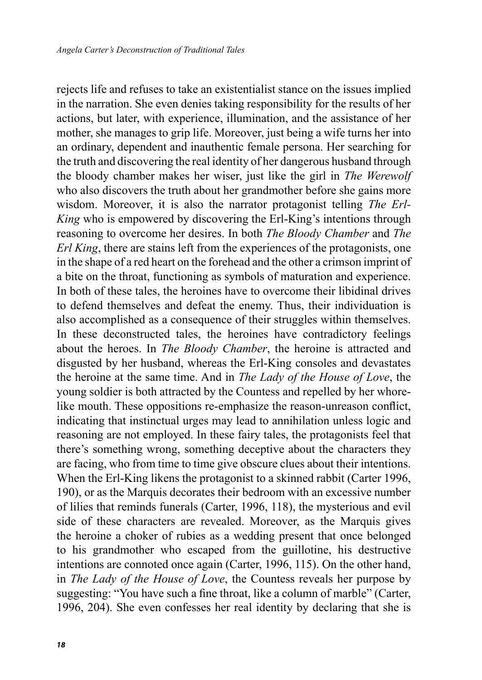rejects life and refuses to take an existentialist stance on the issues implied in the narration. She even denies taking responsibility for the results of her actions, but later, with experience, illumination, and the assistance of her mother, she manages to grip life. Moreover, just being a wife turns her into an ordinary, dependent and inauthentic female persona. Her searching for the truth and discovering the real identity of her dangerous husband through the bloody chamber makes her wiser, just like the girl in *The Werewolf* who also discovers the truth about her grandmother before she gains more wisdom. Moreover, it is also the narrator protagonist telling *The Erl-King* who is empowered by discovering the Erl-King's intentions through reasoning to overcome her desires. In both *The Bloody Chamber* and *The Erl King*, there are stains left from the experiences of the protagonists, one in the shape of a red heart on the forehead and the other a crimson imprint of a bite on the throat, functioning as symbols of maturation and experience. In both of these tales, the heroines have to overcome their libidinal drives to defend themselves and defeat the enemy. Thus, their individuation is also accomplished as a consequence of their struggles within themselves. In these deconstructed tales, the heroines have contradictory feelings about the heroes. In *The Bloody Chamber*, the heroine is attracted and disgusted by her husband, whereas the Erl-King consoles and devastates the heroine at the same time. And in *The Lady of the House of Love*, the young soldier is both attracted by the Countess and repelled by her whorelike mouth. These oppositions re-emphasize the reason-unreason conflict, indicating that instinctual urges may lead to annihilation unless logic and reasoning are not employed. In these fairy tales, the protagonists feel that there's something wrong, something deceptive about the characters they are facing, who from time to time give obscure clues about their intentions. When the Erl-King likens the protagonist to a skinned rabbit (Carter 1996, 190), or as the Marquis decorates their bedroom with an excessive number of lilies that reminds funerals (Carter, 1996, 118), the mysterious and evil side of these characters are revealed. Moreover, as the Marquis gives the heroine a choker of rubies as a wedding present that once belonged to his grandmother who escaped from the guillotine, his destructive intentions are connoted once again (Carter, 1996, 115). On the other hand, in *The Lady of the House of Love*, the Countess reveals her purpose by suggesting: "You have such a fine throat, like a column of marble" (Carter, 1996, 204). She even confesses her real identity by declaring that she is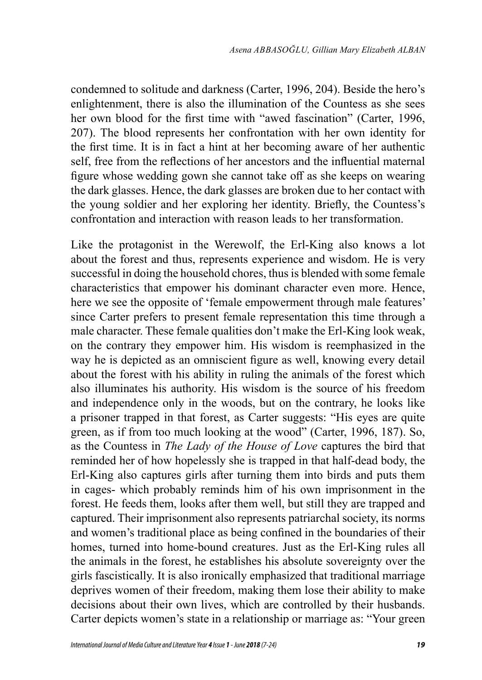condemned to solitude and darkness (Carter, 1996, 204). Beside the hero's enlightenment, there is also the illumination of the Countess as she sees her own blood for the first time with "awed fascination" (Carter, 1996, 207). The blood represents her confrontation with her own identity for the first time. It is in fact a hint at her becoming aware of her authentic self, free from the reflections of her ancestors and the influential maternal figure whose wedding gown she cannot take off as she keeps on wearing the dark glasses. Hence, the dark glasses are broken due to her contact with the young soldier and her exploring her identity. Briefly, the Countess's confrontation and interaction with reason leads to her transformation.

Like the protagonist in the Werewolf, the Erl-King also knows a lot about the forest and thus, represents experience and wisdom. He is very successful in doing the household chores, thus is blended with some female characteristics that empower his dominant character even more. Hence, here we see the opposite of 'female empowerment through male features' since Carter prefers to present female representation this time through a male character. These female qualities don't make the Erl-King look weak, on the contrary they empower him. His wisdom is reemphasized in the way he is depicted as an omniscient figure as well, knowing every detail about the forest with his ability in ruling the animals of the forest which also illuminates his authority. His wisdom is the source of his freedom and independence only in the woods, but on the contrary, he looks like a prisoner trapped in that forest, as Carter suggests: "His eyes are quite green, as if from too much looking at the wood" (Carter, 1996, 187). So, as the Countess in *The Lady of the House of Love* captures the bird that reminded her of how hopelessly she is trapped in that half-dead body, the Erl-King also captures girls after turning them into birds and puts them in cages- which probably reminds him of his own imprisonment in the forest. He feeds them, looks after them well, but still they are trapped and captured. Their imprisonment also represents patriarchal society, its norms and women's traditional place as being confined in the boundaries of their homes, turned into home-bound creatures. Just as the Erl-King rules all the animals in the forest, he establishes his absolute sovereignty over the girls fascistically. It is also ironically emphasized that traditional marriage deprives women of their freedom, making them lose their ability to make decisions about their own lives, which are controlled by their husbands. Carter depicts women's state in a relationship or marriage as: "Your green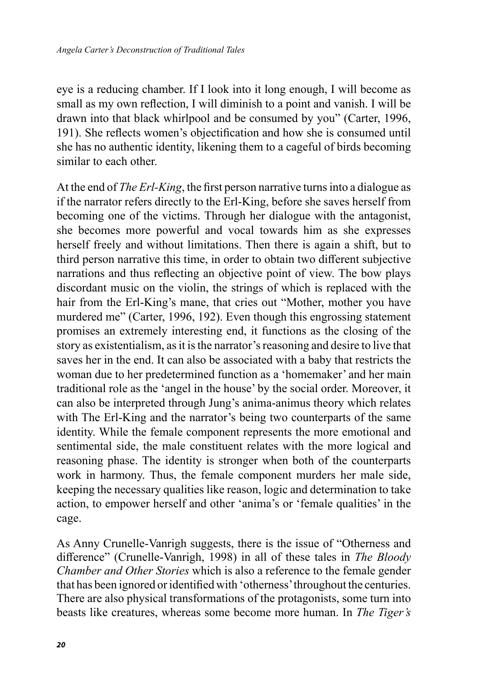eye is a reducing chamber. If I look into it long enough, I will become as small as my own reflection, I will diminish to a point and vanish. I will be drawn into that black whirlpool and be consumed by you" (Carter, 1996, 191). She reflects women's objectification and how she is consumed until she has no authentic identity, likening them to a cageful of birds becoming similar to each other.

At the end of *The Erl-King*, the first person narrative turns into a dialogue as if the narrator refers directly to the Erl-King, before she saves herself from becoming one of the victims. Through her dialogue with the antagonist, she becomes more powerful and vocal towards him as she expresses herself freely and without limitations. Then there is again a shift, but to third person narrative this time, in order to obtain two different subjective narrations and thus reflecting an objective point of view. The bow plays discordant music on the violin, the strings of which is replaced with the hair from the Erl-King's mane, that cries out "Mother, mother you have murdered me" (Carter, 1996, 192). Even though this engrossing statement promises an extremely interesting end, it functions as the closing of the story as existentialism, as it is the narrator's reasoning and desire to live that saves her in the end. It can also be associated with a baby that restricts the woman due to her predetermined function as a 'homemaker' and her main traditional role as the 'angel in the house' by the social order. Moreover, it can also be interpreted through Jung's anima-animus theory which relates with The Erl-King and the narrator's being two counterparts of the same identity. While the female component represents the more emotional and sentimental side, the male constituent relates with the more logical and reasoning phase. The identity is stronger when both of the counterparts work in harmony. Thus, the female component murders her male side, keeping the necessary qualities like reason, logic and determination to take action, to empower herself and other 'anima's or 'female qualities' in the cage.

As Anny Crunelle-Vanrigh suggests, there is the issue of "Otherness and difference" (Crunelle-Vanrigh, 1998) in all of these tales in *The Bloody Chamber and Other Stories* which is also a reference to the female gender that has been ignored or identified with 'otherness' throughout the centuries. There are also physical transformations of the protagonists, some turn into beasts like creatures, whereas some become more human. In *The Tiger's*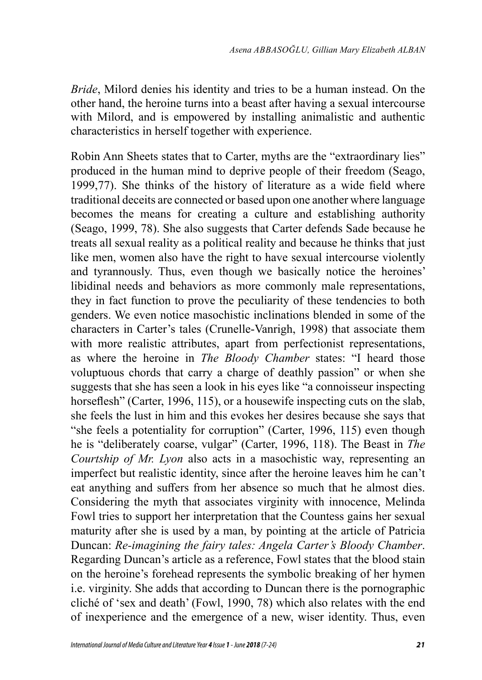*Bride*, Milord denies his identity and tries to be a human instead. On the other hand, the heroine turns into a beast after having a sexual intercourse with Milord, and is empowered by installing animalistic and authentic characteristics in herself together with experience.

Robin Ann Sheets states that to Carter, myths are the "extraordinary lies" produced in the human mind to deprive people of their freedom (Seago, 1999,77). She thinks of the history of literature as a wide field where traditional deceits are connected or based upon one another where language becomes the means for creating a culture and establishing authority (Seago, 1999, 78). She also suggests that Carter defends Sade because he treats all sexual reality as a political reality and because he thinks that just like men, women also have the right to have sexual intercourse violently and tyrannously. Thus, even though we basically notice the heroines' libidinal needs and behaviors as more commonly male representations, they in fact function to prove the peculiarity of these tendencies to both genders. We even notice masochistic inclinations blended in some of the characters in Carter's tales (Crunelle-Vanrigh, 1998) that associate them with more realistic attributes, apart from perfectionist representations, as where the heroine in *The Bloody Chamber* states: "I heard those voluptuous chords that carry a charge of deathly passion" or when she suggests that she has seen a look in his eyes like "a connoisseur inspecting horseflesh" (Carter, 1996, 115), or a housewife inspecting cuts on the slab, she feels the lust in him and this evokes her desires because she says that "she feels a potentiality for corruption" (Carter, 1996, 115) even though he is "deliberately coarse, vulgar" (Carter, 1996, 118). The Beast in *The Courtship of Mr. Lyon* also acts in a masochistic way, representing an imperfect but realistic identity, since after the heroine leaves him he can't eat anything and suffers from her absence so much that he almost dies. Considering the myth that associates virginity with innocence, Melinda Fowl tries to support her interpretation that the Countess gains her sexual maturity after she is used by a man, by pointing at the article of Patricia Duncan: *Re-imagining the fairy tales: Angela Carter's Bloody Chamber*. Regarding Duncan's article as a reference, Fowl states that the blood stain on the heroine's forehead represents the symbolic breaking of her hymen i.e. virginity. She adds that according to Duncan there is the pornographic cliché of 'sex and death' (Fowl, 1990, 78) which also relates with the end of inexperience and the emergence of a new, wiser identity. Thus, even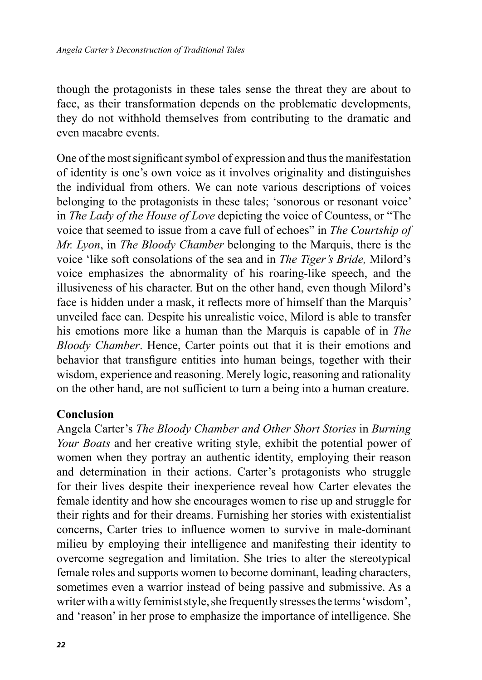though the protagonists in these tales sense the threat they are about to face, as their transformation depends on the problematic developments, they do not withhold themselves from contributing to the dramatic and even macabre events.

One of the most significant symbol of expression and thus the manifestation of identity is one's own voice as it involves originality and distinguishes the individual from others. We can note various descriptions of voices belonging to the protagonists in these tales; 'sonorous or resonant voice' in *The Lady of the House of Love* depicting the voice of Countess, or "The voice that seemed to issue from a cave full of echoes" in *The Courtship of Mr. Lyon*, in *The Bloody Chamber* belonging to the Marquis, there is the voice 'like soft consolations of the sea and in *The Tiger's Bride,* Milord's voice emphasizes the abnormality of his roaring-like speech, and the illusiveness of his character. But on the other hand, even though Milord's face is hidden under a mask, it reflects more of himself than the Marquis' unveiled face can. Despite his unrealistic voice, Milord is able to transfer his emotions more like a human than the Marquis is capable of in *The Bloody Chamber*. Hence, Carter points out that it is their emotions and behavior that transfigure entities into human beings, together with their wisdom, experience and reasoning. Merely logic, reasoning and rationality on the other hand, are not sufficient to turn a being into a human creature.

#### **Conclusion**

Angela Carter's *The Bloody Chamber and Other Short Stories* in *Burning Your Boats* and her creative writing style, exhibit the potential power of women when they portray an authentic identity, employing their reason and determination in their actions. Carter's protagonists who struggle for their lives despite their inexperience reveal how Carter elevates the female identity and how she encourages women to rise up and struggle for their rights and for their dreams. Furnishing her stories with existentialist concerns, Carter tries to influence women to survive in male-dominant milieu by employing their intelligence and manifesting their identity to overcome segregation and limitation. She tries to alter the stereotypical female roles and supports women to become dominant, leading characters, sometimes even a warrior instead of being passive and submissive. As a writer with a witty feminist style, she frequently stresses the terms 'wisdom', and 'reason' in her prose to emphasize the importance of intelligence. She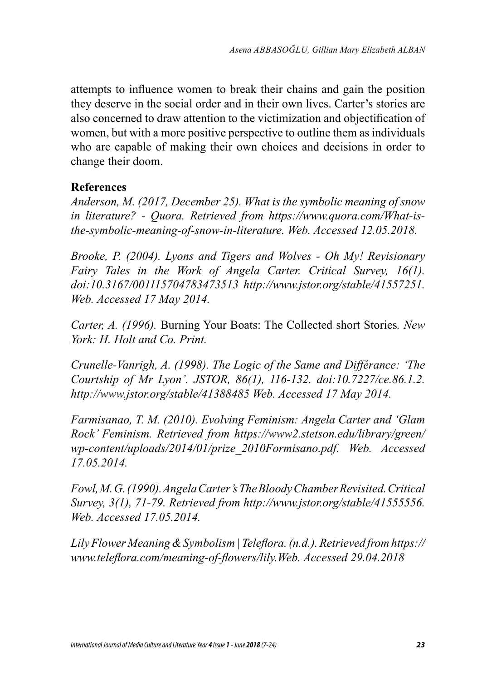attempts to influence women to break their chains and gain the position they deserve in the social order and in their own lives. Carter's stories are also concerned to draw attention to the victimization and objectification of women, but with a more positive perspective to outline them as individuals who are capable of making their own choices and decisions in order to change their doom.

#### **References**

*Anderson, M. (2017, December 25). What is the symbolic meaning of snow in literature? - Quora. Retrieved from https://www.quora.com/What-isthe-symbolic-meaning-of-snow-in-literature. Web. Accessed 12.05.2018.*

*Brooke, P. (2004). Lyons and Tigers and Wolves - Oh My! Revisionary Fairy Tales in the Work of Angela Carter. Critical Survey, 16(1). doi:10.3167/001115704783473513 http://www.jstor.org/stable/41557251. Web. Accessed 17 May 2014.*

*Carter, A. (1996).* Burning Your Boats: The Collected short Stories*. New York: H. Holt and Co. Print.*

*Crunelle-Vanrigh, A. (1998). The Logic of the Same and Différance: 'The Courtship of Mr Lyon'. JSTOR, 86(1), 116-132. doi:10.7227/ce.86.1.2. http://www.jstor.org/stable/41388485 Web. Accessed 17 May 2014.*

*Farmisanao, T. M. (2010). Evolving Feminism: Angela Carter and 'Glam Rock' Feminism. Retrieved from https://www2.stetson.edu/library/green/ wp-content/uploads/2014/01/prize\_2010Formisano.pdf. Web. Accessed 17.05.2014.*

*Fowl,M.G. (1990). Angela Carter's The Bloody Chamber Revisited.Critical Survey, 3(1), 71-79. Retrieved from http://www.jstor.org/stable/41555556. Web. Accessed 17.05.2014.*

*Lily Flower Meaning & Symbolism | Teleflora. (n.d.). Retrieved from https:// www.teleflora.com/meaning-of-flowers/lily.Web. Accessed 29.04.2018*